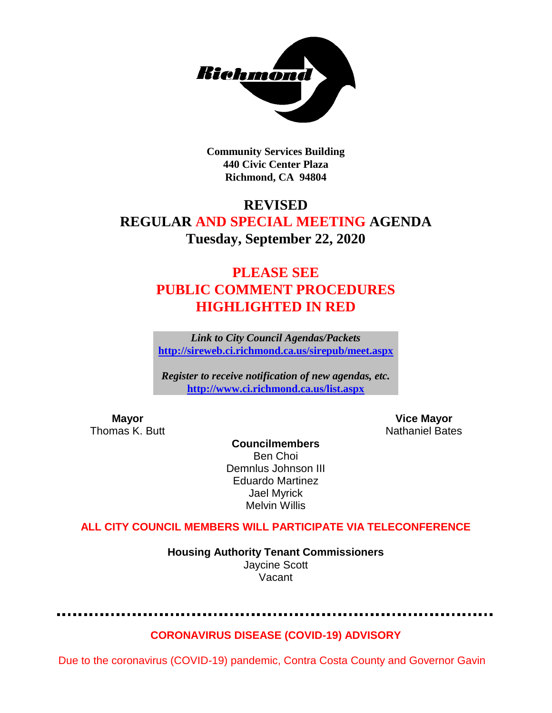

**Community Services Building 440 Civic Center Plaza Richmond, CA 94804**

### **REVISED**

### **REGULAR AND SPECIAL MEETING AGENDA Tuesday, September 22, 2020**

# **PLEASE SEE PUBLIC COMMENT PROCEDURES HIGHLIGHTED IN RED**

*Link to City Council Agendas/Packets* **<http://sireweb.ci.richmond.ca.us/sirepub/meet.aspx>**

*Register to receive notification of new agendas, etc.* **<http://www.ci.richmond.ca.us/list.aspx>**

**Mayor Vice Mayor** Thomas K. Butt Nathaniel Bates Nathaniel Bates

**Councilmembers** Ben Choi Demnlus Johnson III Eduardo Martinez Jael Myrick Melvin Willis

**ALL CITY COUNCIL MEMBERS WILL PARTICIPATE VIA TELECONFERENCE**

**Housing Authority Tenant Commissioners** Jaycine Scott Vacant

**CORONAVIRUS DISEASE (COVID-19) ADVISORY**

Due to the coronavirus (COVID-19) pandemic, Contra Costa County and Governor Gavin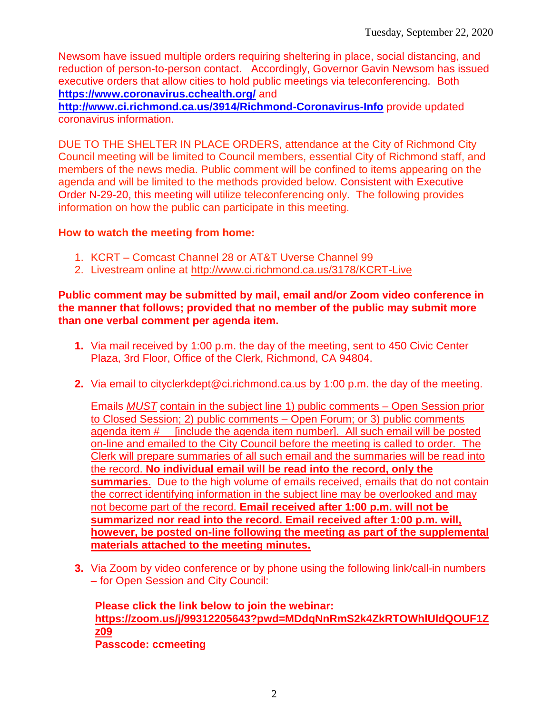Newsom have issued multiple orders requiring sheltering in place, social distancing, and reduction of person-to-person contact. Accordingly, Governor Gavin Newsom has issued executive orders that allow cities to hold public meetings via teleconferencing. Both **<https://www.coronavirus.cchealth.org/>** and

**<http://www.ci.richmond.ca.us/3914/Richmond-Coronavirus-Info>** provide updated coronavirus information.

DUE TO THE SHELTER IN PLACE ORDERS, attendance at the City of Richmond City Council meeting will be limited to Council members, essential City of Richmond staff, and members of the news media. Public comment will be confined to items appearing on the agenda and will be limited to the methods provided below. Consistent with Executive Order N-29-20, this meeting will utilize teleconferencing only. The following provides information on how the public can participate in this meeting.

#### **How to watch the meeting from home:**

- 1. KCRT Comcast Channel 28 or AT&T Uverse Channel 99
- 2. Livestream online at<http://www.ci.richmond.ca.us/3178/KCRT-Live>

#### **Public comment may be submitted by mail, email and/or Zoom video conference in the manner that follows; provided that no member of the public may submit more than one verbal comment per agenda item.**

- **1.** Via mail received by 1:00 p.m. the day of the meeting, sent to 450 Civic Center Plaza, 3rd Floor, Office of the Clerk, Richmond, CA 94804.
- **2.** Via email to [cityclerkdept@ci.richmond.ca.us](mailto:cityclerkdept@ci.richmond.ca.us) by 1:00 p.m. the day of the meeting.

Emails *MUST* contain in the subject line 1) public comments – Open Session prior to Closed Session; 2) public comments – Open Forum; or 3) public comments agenda item #\_\_ [include the agenda item number]. All such email will be posted on-line and emailed to the City Council before the meeting is called to order. The Clerk will prepare summaries of all such email and the summaries will be read into the record. **No individual email will be read into the record, only the summaries**. Due to the high volume of emails received, emails that do not contain the correct identifying information in the subject line may be overlooked and may not become part of the record. **Email received after 1:00 p.m. will not be summarized nor read into the record. Email received after 1:00 p.m. will, however, be posted on-line following the meeting as part of the supplemental materials attached to the meeting minutes.**

**3.** Via Zoom by video conference or by phone using the following link/call-in numbers – for Open Session and City Council:

**Please click the link below to join the webinar: [https://zoom.us/j/99312205643?pwd=MDdqNnRmS2k4ZkRTOWhlUldQOUF1Z](https://zoom.us/j/99312205643?pwd=MDdqNnRmS2k4ZkRTOWhlUldQOUF1Zz09) [z09](https://zoom.us/j/99312205643?pwd=MDdqNnRmS2k4ZkRTOWhlUldQOUF1Zz09) Passcode: ccmeeting**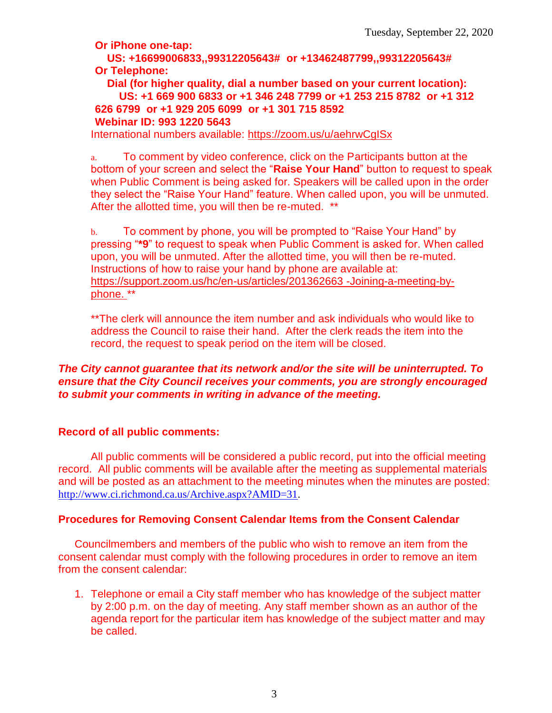**Or iPhone one-tap:**

**US: +16699006833,,99312205643# or +13462487799,,99312205643# Or Telephone:**

**Dial (for higher quality, dial a number based on your current location): US: +1 669 900 6833 or +1 346 248 7799 or +1 253 215 8782 or +1 312 626 6799 or +1 929 205 6099 or +1 301 715 8592 Webinar ID: 993 1220 5643**

International numbers available:<https://zoom.us/u/aehrwCgISx>

a. To comment by video conference, click on the Participants button at the bottom of your screen and select the "**Raise Your Hand**" button to request to speak when Public Comment is being asked for. Speakers will be called upon in the order they select the "Raise Your Hand" feature. When called upon, you will be unmuted. After the allotted time, you will then be re-muted. \*\*

b. To comment by phone, you will be prompted to "Raise Your Hand" by pressing "**\*9**" to request to speak when Public Comment is asked for. When called upon, you will be unmuted. After the allotted time, you will then be re-muted. Instructions of how to raise your hand by phone are available at: [https://support.zoom.us/hc/en-us/articles/201362663 -Joining-a-meeting-by](https://support.zoom.us/hc/en-us/articles/201362663)[phone.](https://support.zoom.us/hc/en-us/articles/201362663) \*\*

\*\*The clerk will announce the item number and ask individuals who would like to address the Council to raise their hand. After the clerk reads the item into the record, the request to speak period on the item will be closed.

#### *The City cannot guarantee that its network and/or the site will be uninterrupted. To ensure that the City Council receives your comments, you are strongly encouraged to submit your comments in writing in advance of the meeting.*

#### **Record of all public comments:**

All public comments will be considered a public record, put into the official meeting record. All public comments will be available after the meeting as supplemental materials and will be posted as an attachment to the meeting minutes when the minutes are posted: [http://www.ci.richmond.ca.us/Archive.aspx?AMID=31.](http://www.ci.richmond.ca.us/Archive.aspx?AMID=31)

#### **Procedures for Removing Consent Calendar Items from the Consent Calendar**

Councilmembers and members of the public who wish to remove an item from the consent calendar must comply with the following procedures in order to remove an item from the consent calendar:

1. Telephone or email a City staff member who has knowledge of the subject matter by 2:00 p.m. on the day of meeting. Any staff member shown as an author of the agenda report for the particular item has knowledge of the subject matter and may be called.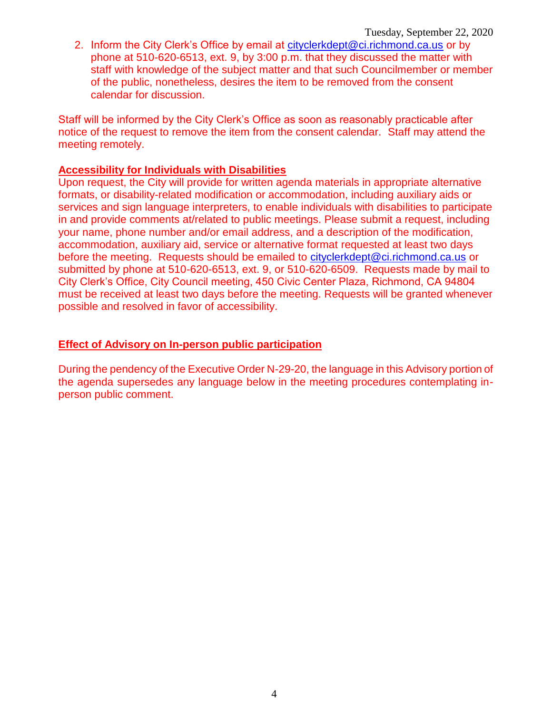2. Inform the City Clerk's Office by email at [cityclerkdept@ci.richmond.ca.us](mailto:cityclerkdept@ci.richmond.ca.us) or by phone at 510-620-6513, ext. 9, by 3:00 p.m. that they discussed the matter with staff with knowledge of the subject matter and that such Councilmember or member of the public, nonetheless, desires the item to be removed from the consent calendar for discussion.

Staff will be informed by the City Clerk's Office as soon as reasonably practicable after notice of the request to remove the item from the consent calendar. Staff may attend the meeting remotely.

#### **Accessibility for Individuals with Disabilities**

Upon request, the City will provide for written agenda materials in appropriate alternative formats, or disability-related modification or accommodation, including auxiliary aids or services and sign language interpreters, to enable individuals with disabilities to participate in and provide comments at/related to public meetings. Please submit a request, including your name, phone number and/or email address, and a description of the modification, accommodation, auxiliary aid, service or alternative format requested at least two days before the meeting. Requests should be emailed to [cityclerkdept@ci.richmond.ca.us](mailto:cityclerkdept@ci.richmond.ca.us) or submitted by phone at 510-620-6513, ext. 9, or 510-620-6509. Requests made by mail to City Clerk's Office, City Council meeting, 450 Civic Center Plaza, Richmond, CA 94804 must be received at least two days before the meeting. Requests will be granted whenever possible and resolved in favor of accessibility.

#### **Effect of Advisory on In-person public participation**

During the pendency of the Executive Order N-29-20, the language in this Advisory portion of the agenda supersedes any language below in the meeting procedures contemplating inperson public comment.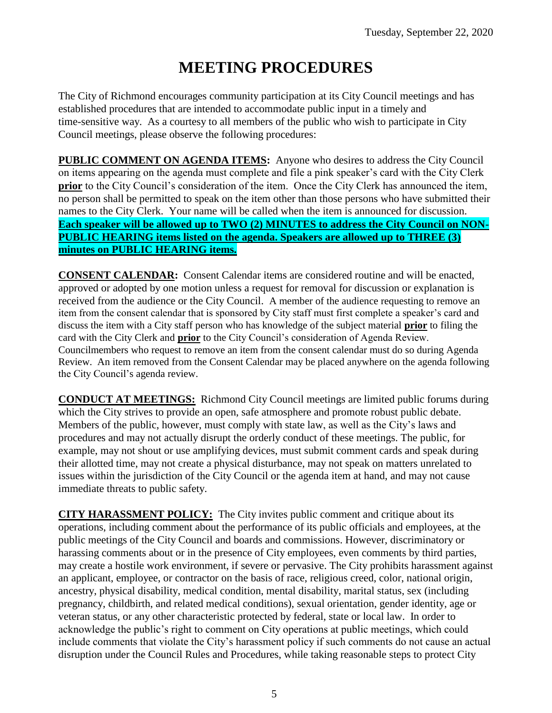# **MEETING PROCEDURES**

The City of Richmond encourages community participation at its City Council meetings and has established procedures that are intended to accommodate public input in a timely and time-sensitive way. As a courtesy to all members of the public who wish to participate in City Council meetings, please observe the following procedures:

**PUBLIC COMMENT ON AGENDA ITEMS:** Anyone who desires to address the City Council on items appearing on the agenda must complete and file a pink speaker's card with the City Clerk **prior** to the City Council's consideration of the item. Once the City Clerk has announced the item, no person shall be permitted to speak on the item other than those persons who have submitted their names to the City Clerk. Your name will be called when the item is announced for discussion. **Each speaker will be allowed up to TWO (2) MINUTES to address the City Council on NON-PUBLIC HEARING items listed on the agenda. Speakers are allowed up to THREE (3) minutes on PUBLIC HEARING items.**

**CONSENT CALENDAR:** Consent Calendar items are considered routine and will be enacted, approved or adopted by one motion unless a request for removal for discussion or explanation is received from the audience or the City Council. A member of the audience requesting to remove an item from the consent calendar that is sponsored by City staff must first complete a speaker's card and discuss the item with a City staff person who has knowledge of the subject material **prior** to filing the card with the City Clerk and **prior** to the City Council's consideration of Agenda Review. Councilmembers who request to remove an item from the consent calendar must do so during Agenda Review. An item removed from the Consent Calendar may be placed anywhere on the agenda following the City Council's agenda review.

**CONDUCT AT MEETINGS:** Richmond City Council meetings are limited public forums during which the City strives to provide an open, safe atmosphere and promote robust public debate. Members of the public, however, must comply with state law, as well as the City's laws and procedures and may not actually disrupt the orderly conduct of these meetings. The public, for example, may not shout or use amplifying devices, must submit comment cards and speak during their allotted time, may not create a physical disturbance, may not speak on matters unrelated to issues within the jurisdiction of the City Council or the agenda item at hand, and may not cause immediate threats to public safety.

**CITY HARASSMENT POLICY:** The City invites public comment and critique about its operations, including comment about the performance of its public officials and employees, at the public meetings of the City Council and boards and commissions. However, discriminatory or harassing comments about or in the presence of City employees, even comments by third parties, may create a hostile work environment, if severe or pervasive. The City prohibits harassment against an applicant, employee, or contractor on the basis of race, religious creed, color, national origin, ancestry, physical disability, medical condition, mental disability, marital status, sex (including pregnancy, childbirth, and related medical conditions), sexual orientation, gender identity, age or veteran status, or any other characteristic protected by federal, state or local law. In order to acknowledge the public's right to comment on City operations at public meetings, which could include comments that violate the City's harassment policy if such comments do not cause an actual disruption under the Council Rules and Procedures, while taking reasonable steps to protect City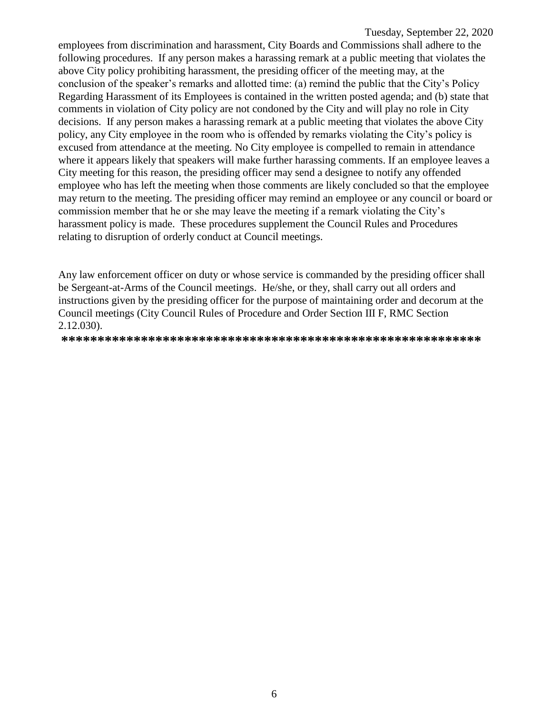employees from discrimination and harassment, City Boards and Commissions shall adhere to the following procedures. If any person makes a harassing remark at a public meeting that violates the above City policy prohibiting harassment, the presiding officer of the meeting may, at the conclusion of the speaker's remarks and allotted time: (a) remind the public that the City's Policy Regarding Harassment of its Employees is contained in the written posted agenda; and (b) state that comments in violation of City policy are not condoned by the City and will play no role in City decisions. If any person makes a harassing remark at a public meeting that violates the above City policy, any City employee in the room who is offended by remarks violating the City's policy is excused from attendance at the meeting. No City employee is compelled to remain in attendance where it appears likely that speakers will make further harassing comments. If an employee leaves a City meeting for this reason, the presiding officer may send a designee to notify any offended employee who has left the meeting when those comments are likely concluded so that the employee may return to the meeting. The presiding officer may remind an employee or any council or board or commission member that he or she may leave the meeting if a remark violating the City's harassment policy is made. These procedures supplement the Council Rules and Procedures relating to disruption of orderly conduct at Council meetings.

Any law enforcement officer on duty or whose service is commanded by the presiding officer shall be Sergeant-at-Arms of the Council meetings. He/she, or they, shall carry out all orders and instructions given by the presiding officer for the purpose of maintaining order and decorum at the Council meetings (City Council Rules of Procedure and Order Section III F, RMC Section 2.12.030).

**\*\*\*\*\*\*\*\*\*\*\*\*\*\*\*\*\*\*\*\*\*\*\*\*\*\*\*\*\*\*\*\*\*\*\*\*\*\*\*\*\*\*\*\*\*\*\*\*\*\*\*\*\*\*\*\*\*\***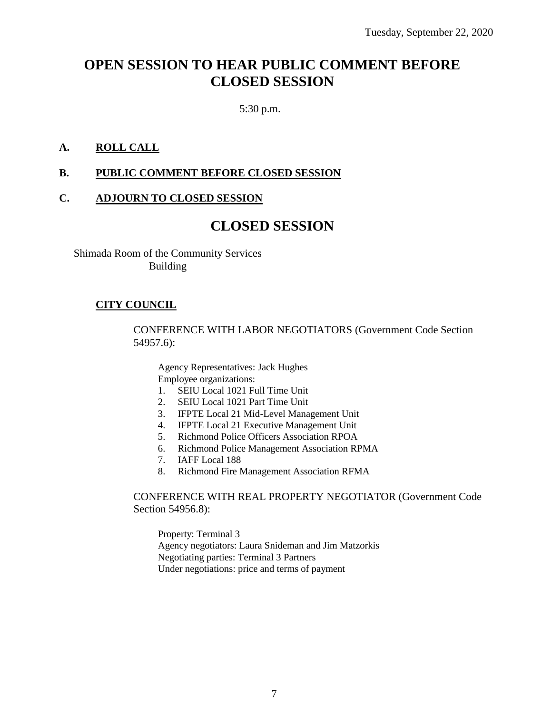## **OPEN SESSION TO HEAR PUBLIC COMMENT BEFORE CLOSED SESSION**

5:30 p.m.

#### **A. ROLL CALL**

#### **B. PUBLIC COMMENT BEFORE CLOSED SESSION**

#### **C. ADJOURN TO CLOSED SESSION**

### **CLOSED SESSION**

Shimada Room of the Community Services Building

#### **CITY COUNCIL**

CONFERENCE WITH LABOR NEGOTIATORS (Government Code Section 54957.6):

Agency Representatives: Jack Hughes Employee organizations:

- 1. SEIU Local 1021 Full Time Unit
- 2. SEIU Local 1021 Part Time Unit
- 3. IFPTE Local 21 Mid-Level Management Unit
- 4. IFPTE Local 21 Executive Management Unit
- 5. Richmond Police Officers Association RPOA
- 6. Richmond Police Management Association RPMA
- 7. IAFF Local 188
- 8. Richmond Fire Management Association RFMA

#### CONFERENCE WITH REAL PROPERTY NEGOTIATOR (Government Code Section 54956.8):

Property: Terminal 3 Agency negotiators: Laura Snideman and Jim Matzorkis Negotiating parties: Terminal 3 Partners Under negotiations: price and terms of payment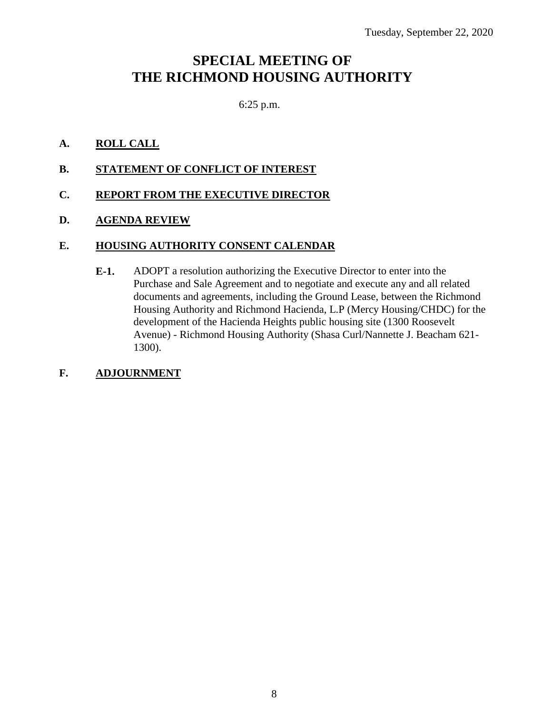# **SPECIAL MEETING OF THE RICHMOND HOUSING AUTHORITY**

### 6:25 p.m.

#### **A. ROLL CALL**

#### **B. STATEMENT OF CONFLICT OF INTEREST**

### **C. REPORT FROM THE EXECUTIVE DIRECTOR**

#### **D. AGENDA REVIEW**

#### **E. HOUSING AUTHORITY CONSENT CALENDAR**

**E-1.** ADOPT a resolution authorizing the Executive Director to enter into the Purchase and Sale Agreement and to negotiate and execute any and all related documents and agreements, including the Ground Lease, between the Richmond Housing Authority and Richmond Hacienda, L.P (Mercy Housing/CHDC) for the development of the Hacienda Heights public housing site (1300 Roosevelt Avenue) - Richmond Housing Authority (Shasa Curl/Nannette J. Beacham 621- 1300).

#### **F. ADJOURNMENT**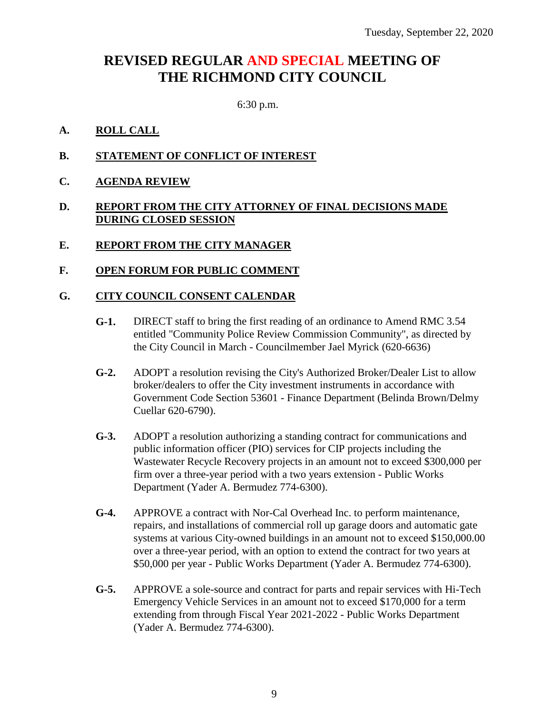# **REVISED REGULAR AND SPECIAL MEETING OF THE RICHMOND CITY COUNCIL**

6:30 p.m.

#### **A. ROLL CALL**

- **B. STATEMENT OF CONFLICT OF INTEREST**
- **C. AGENDA REVIEW**

#### **D. REPORT FROM THE CITY ATTORNEY OF FINAL DECISIONS MADE DURING CLOSED SESSION**

#### **E. REPORT FROM THE CITY MANAGER**

#### **F. OPEN FORUM FOR PUBLIC COMMENT**

#### **G. CITY COUNCIL CONSENT CALENDAR**

- **G-1.** DIRECT staff to bring the first reading of an ordinance to Amend RMC 3.54 entitled "Community Police Review Commission Community", as directed by the City Council in March - Councilmember Jael Myrick (620-6636)
- **G-2.** ADOPT a resolution revising the City's Authorized Broker/Dealer List to allow broker/dealers to offer the City investment instruments in accordance with Government Code Section 53601 - Finance Department (Belinda Brown/Delmy Cuellar 620-6790).
- **G-3.** ADOPT a resolution authorizing a standing contract for communications and public information officer (PIO) services for CIP projects including the Wastewater Recycle Recovery projects in an amount not to exceed \$300,000 per firm over a three-year period with a two years extension - Public Works Department (Yader A. Bermudez 774-6300).
- **G-4.** APPROVE a contract with Nor-Cal Overhead Inc. to perform maintenance, repairs, and installations of commercial roll up garage doors and automatic gate systems at various City-owned buildings in an amount not to exceed \$150,000.00 over a three-year period, with an option to extend the contract for two years at \$50,000 per year - Public Works Department (Yader A. Bermudez 774-6300).
- **G-5.** APPROVE a sole-source and contract for parts and repair services with Hi-Tech Emergency Vehicle Services in an amount not to exceed \$170,000 for a term extending from through Fiscal Year 2021-2022 - Public Works Department (Yader A. Bermudez 774-6300).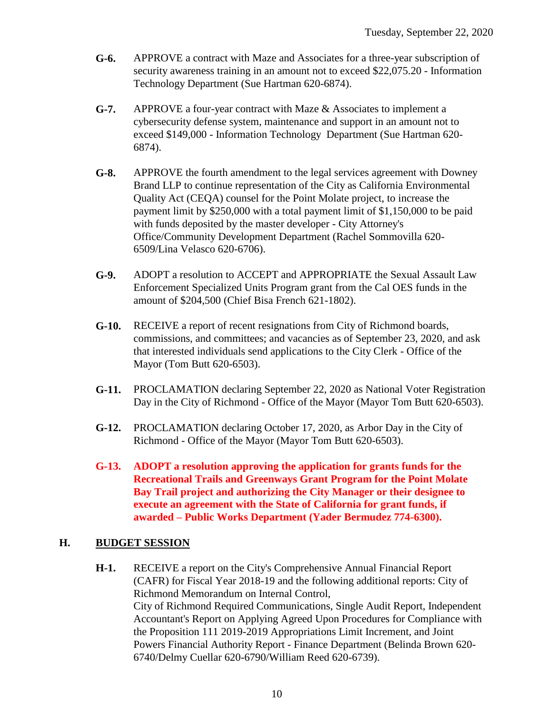- **G-6.** APPROVE a contract with Maze and Associates for a three-year subscription of security awareness training in an amount not to exceed \$22,075.20 - Information Technology Department (Sue Hartman 620-6874).
- **G-7.** APPROVE a four-year contract with Maze & Associates to implement a cybersecurity defense system, maintenance and support in an amount not to exceed \$149,000 - Information Technology Department (Sue Hartman 620- 6874).
- **G-8.** APPROVE the fourth amendment to the legal services agreement with Downey Brand LLP to continue representation of the City as California Environmental Quality Act (CEQA) counsel for the Point Molate project, to increase the payment limit by \$250,000 with a total payment limit of \$1,150,000 to be paid with funds deposited by the master developer - City Attorney's Office/Community Development Department (Rachel Sommovilla 620- 6509/Lina Velasco 620-6706).
- **G-9.** ADOPT a resolution to ACCEPT and APPROPRIATE the Sexual Assault Law Enforcement Specialized Units Program grant from the Cal OES funds in the amount of \$204,500 (Chief Bisa French 621-1802).
- **G-10.** RECEIVE a report of recent resignations from City of Richmond boards, commissions, and committees; and vacancies as of September 23, 2020, and ask that interested individuals send applications to the City Clerk - Office of the Mayor (Tom Butt 620-6503).
- **G-11.** PROCLAMATION declaring September 22, 2020 as National Voter Registration Day in the City of Richmond - Office of the Mayor (Mayor Tom Butt 620-6503).
- **G-12.** PROCLAMATION declaring October 17, 2020, as Arbor Day in the City of Richmond - Office of the Mayor (Mayor Tom Butt 620-6503).
- **G-13. ADOPT a resolution approving the application for grants funds for the Recreational Trails and Greenways Grant Program for the Point Molate Bay Trail project and authorizing the City Manager or their designee to execute an agreement with the State of California for grant funds, if awarded – Public Works Department (Yader Bermudez 774-6300).**

### **H. BUDGET SESSION**

**H-1.** RECEIVE a report on the City's Comprehensive Annual Financial Report (CAFR) for Fiscal Year 2018-19 and the following additional reports: City of Richmond Memorandum on Internal Control, City of Richmond Required Communications, Single Audit Report, Independent Accountant's Report on Applying Agreed Upon Procedures for Compliance with the Proposition 111 2019-2019 Appropriations Limit Increment, and Joint Powers Financial Authority Report - Finance Department (Belinda Brown 620- 6740/Delmy Cuellar 620-6790/William Reed 620-6739).